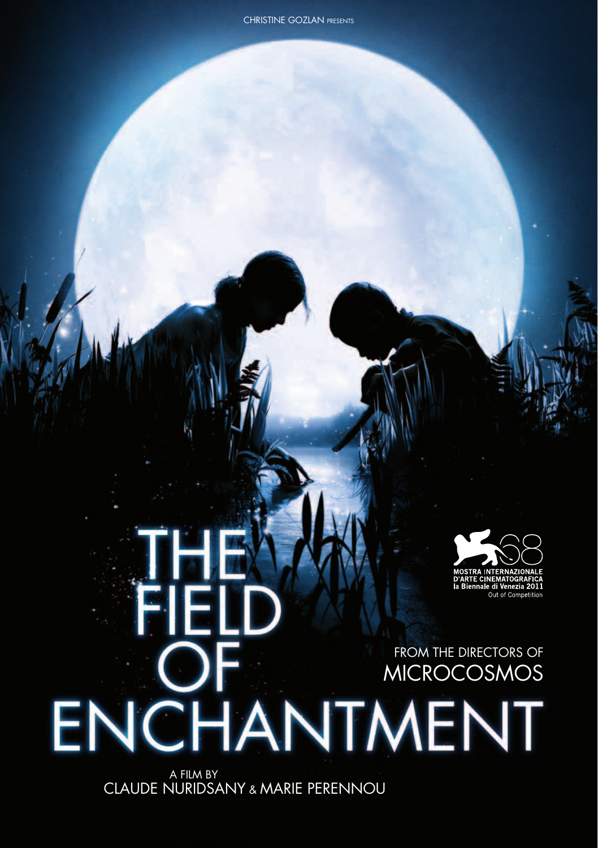#### FROM the directors of MICROCOSMOS

 A FILM BY CLAUDE NURIDSANY & MARIE PERENNOU

**ENCHANTMENT** 

FIEI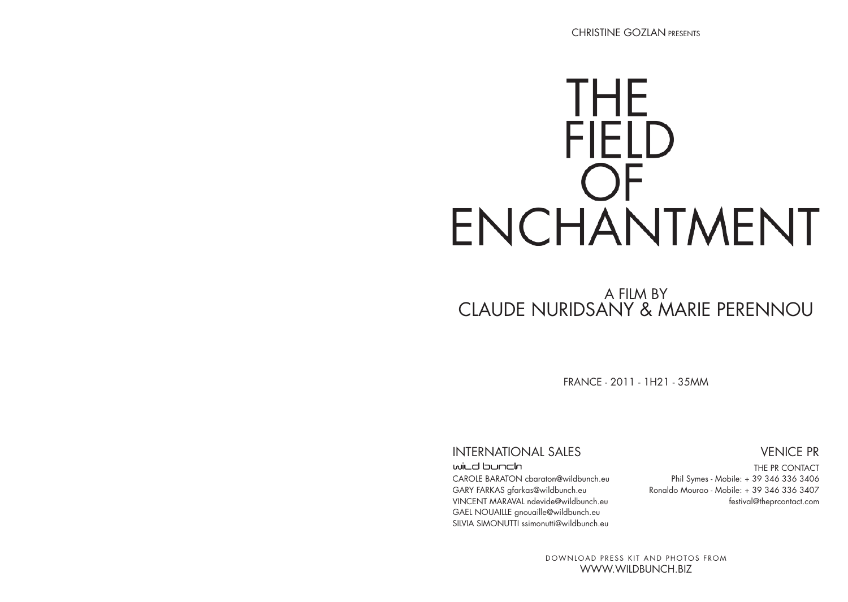# THE **FIELD** ENCHANTMENT

### A FILM BY CLAUDE NURIDSANY & MARIE PeRENNOU

France - 2011 - 1h21 - 35mm

#### International Sales

#### wild bunch

CAROLE BARATON cbaraton@wildbunch.eu GARY FARKAS gfarkas@wildbunch.eu VINCENT MARAVAL ndevide@wildbunch.eu GAEL NOUAILLE gnouaille@wildbunch.eu SIIVIA SIMONUTTI ssimonutti@wildbunch.eu

#### Venice PR

THE PR CONTACT Phil Symes - Mobile: + 39 346 336 3406 Ronaldo Mourao - Mobile: + 39 346 336 3407 festival@theprcontact.com

DOWNLOAD PRESS KIT AND PHOTOS FROM www.wildbunch.biz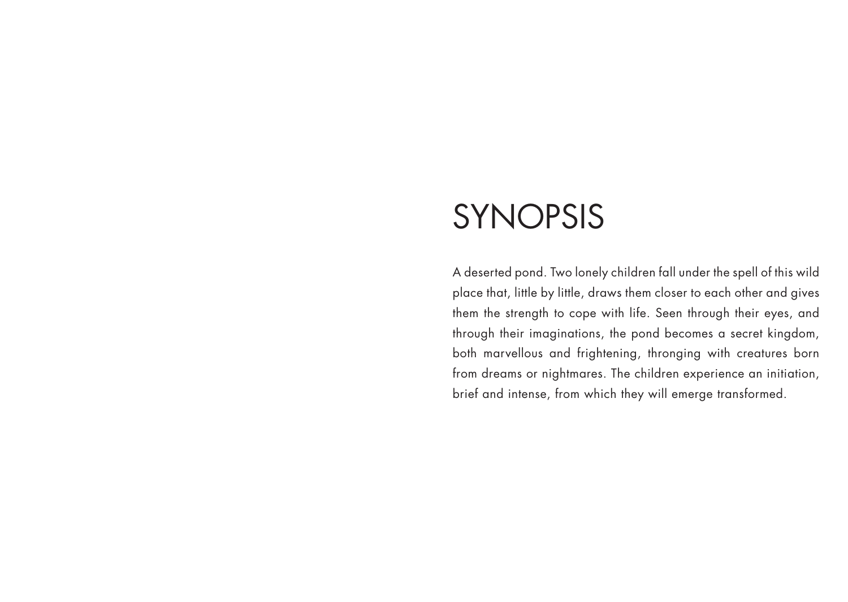### SYNOPSIS

A deserted pond. Two lonely children fall under the spell of this wild place that, little by little, draws them closer to each other and gives them the strength to cope with life. Seen through their eyes, and through their imaginations, the pond becomes a secret kingdom, both marvellous and frightening, thronging with creatures born from dreams or nightmares. The children experience an initiation, brief and intense, from which they will emerge transformed.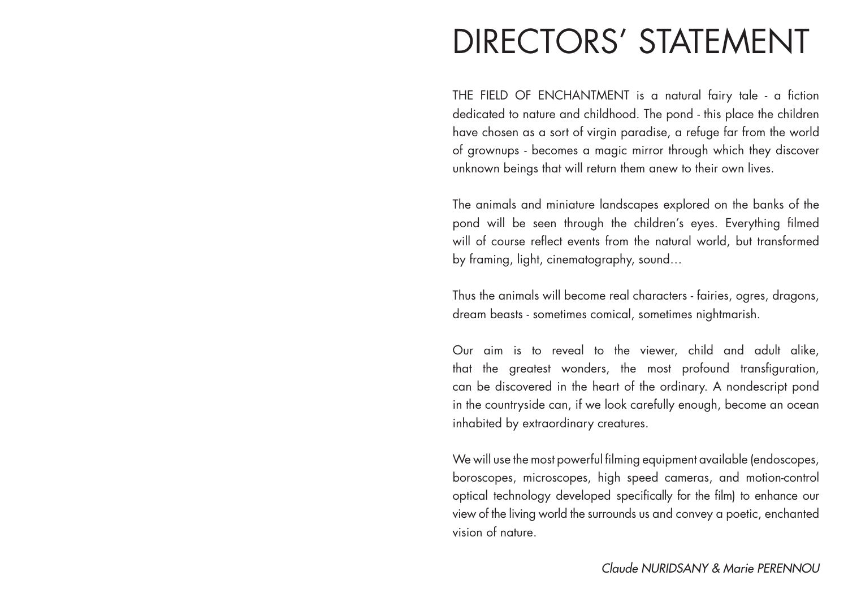### DIRECTORS' STATEMENT

THE FIELD OF ENCHANTMENT is a natural fairy tale - a fiction dedicated to nature and childhood. The pond - this place the children have chosen as a sort of virgin paradise, a refuge far from the world of grownups - becomes a magic mirror through which they discover unknown beings that will return them anew to their own lives.

The animals and miniature landscapes explored on the banks of the pond will be seen through the children's eyes. Everything filmed will of course reflect events from the natural world, but transformed by framing, light, cinematography, sound…

Thus the animals will become real characters - fairies, ogres, dragons, dream beasts - sometimes comical, sometimes nightmarish.

Our aim is to reveal to the viewer, child and adult alike, that the greatest wonders, the most profound transfiguration, can be discovered in the heart of the ordinary. A nondescript pond in the countryside can, if we look carefully enough, become an ocean inhabited by extraordinary creatures.

We will use the most powerful filming equipment available (endoscopes, boroscopes, microscopes, high speed cameras, and motion-control optical technology developed specifically for the film) to enhance our view of the living world the surrounds us and convey a poetic, enchanted vision of nature.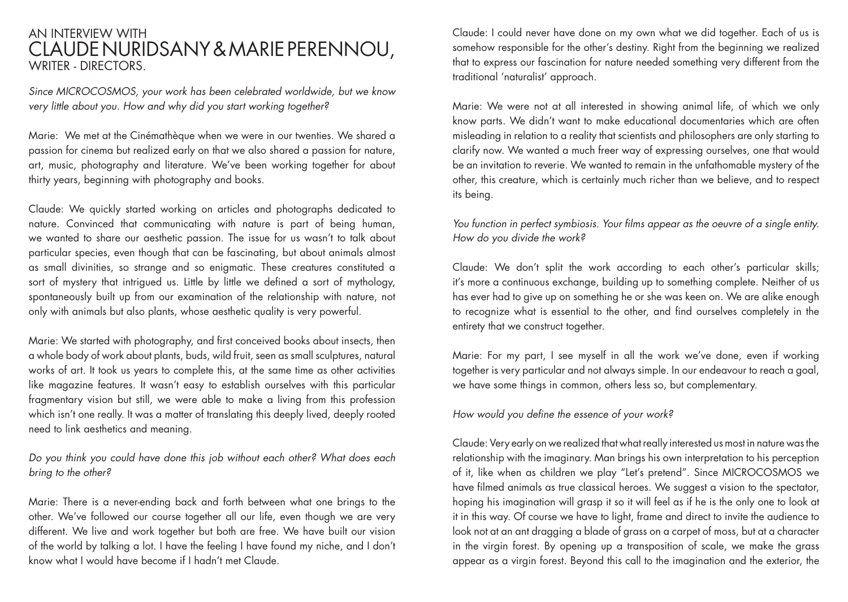#### An interview with CLAUDE NURIDSANY & MARIE PeRENNOU, WRITER - DIRECTORS.

*Since MICROCOSMOS, your work has been celebrated worldwide, but we know very little about you. How and why did you start working together?*

Marie: We met at the Cinémathèque when we were in our twenties. We shared a passion for cinema but realized early on that we also shared a passion for nature, art, music, photography and literature. We've been working together for about thirty years, beginning with photography and books.

Claude: We quickly started working on articles and photographs dedicated to nature. Convinced that communicating with nature is part of being human, we wanted to share our aesthetic passion. The issue for us wasn't to talk about particular species, even though that can be fascinating, but about animals almost as small divinities, so strange and so enigmatic. These creatures constituted a sort of mystery that intrigued us. Little by little we defined a sort of mythology, spontaneously built up from our examination of the relationship with nature, not only with animals but also plants, whose aesthetic quality is very powerful.

Marie: We started with photography, and first conceived books about insects, then a whole body of work about plants, buds, wild fruit, seen as small sculptures, natural works of art. It took us years to complete this, at the same time as other activities like magazine features. It wasn't easy to establish ourselves with this particular fragmentary vision but still, we were able to make a living from this profession which isn't one really. It was a matter of translating this deeply lived, deeply rooted need to link aesthetics and meaning.

*Do you think you could have done this job without each other? What does each bring to the other?*

Marie: There is a never-ending back and forth between what one brings to the other. We've followed our course together all our life, even though we are very different. We live and work together but both are free. We have built our vision of the world by talking a lot. I have the feeling I have found my niche, and I don't know what I would have become if I hadn't met Claude.

Claude: I could never have done on my own what we did together. Each of us is somehow responsible for the other's destiny. Right from the beginning we realized that to express our fascination for nature needed something very different from the traditional 'naturalist' approach.

Marie: We were not at all interested in showing animal life, of which we only know parts. We didn't want to make educational documentaries which are often misleading in relation to a reality that scientists and philosophers are only starting to clarify now. We wanted a much freer way of expressing ourselves, one that would be an invitation to reverie. We wanted to remain in the unfathomable mystery of the other, this creature, which is certainly much richer than we believe, and to respect its being.

#### *You function in perfect symbiosis. Your films appear as the oeuvre of a single entity. How do you divide the work?*

Claude: We don't split the work according to each other's particular skills; it's more a continuous exchange, building up to something complete. Neither of us has ever had to give up on something he or she was keen on. We are alike enough to recognize what is essential to the other, and find ourselves completely in the entirety that we construct together.

Marie: For my part, I see myself in all the work we've done, even if working together is very particular and not always simple. In our endeavour to reach a goal, we have some things in common, others less so, but complementary.

#### *How would you define the essence of your work?*

Claude: Very early on we realized that what really interested us most in nature was the relationship with the imaginary. Man brings his own interpretation to his perception of it, like when as children we play "Let's pretend". Since MICROCOSMOS we have filmed animals as true classical heroes. We suggest a vision to the spectator, hoping his imagination will grasp it so it will feel as if he is the only one to look at it in this way. Of course we have to light, frame and direct to invite the audience to look not at an ant dragging a blade of grass on a carpet of moss, but at a character in the virgin forest. By opening up a transposition of scale, we make the grass appear as a virgin forest. Beyond this call to the imagination and the exterior, the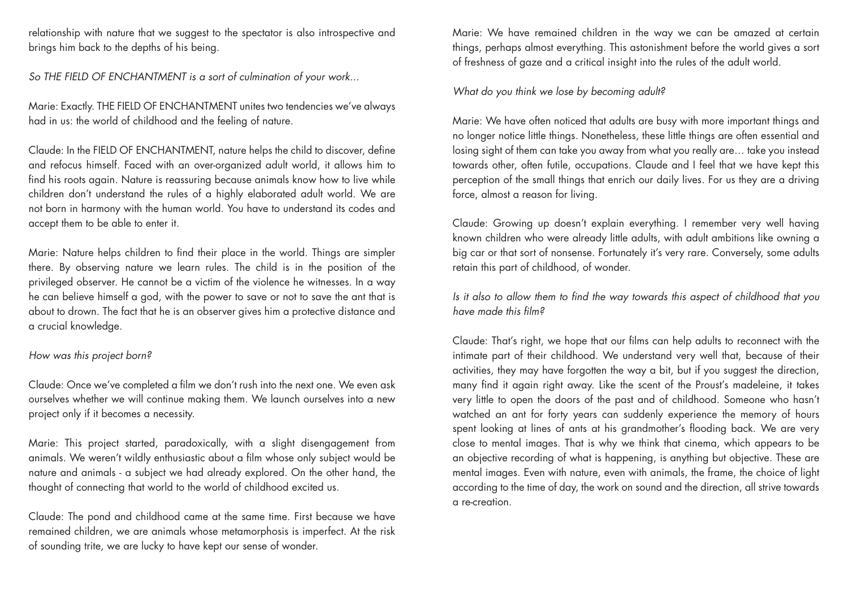relationship with nature that we suggest to the spectator is also introspective and brings him back to the depths of his being.

*So THE FIELD OF ENCHANTMENT is a sort of culmination of your work...*

Marie: Exactly. THE FIELD OF ENCHANTMENT unites two tendencies we've always had in us: the world of childhood and the feeling of nature.

Claude: In the FIELD OF ENCHANTMENT, nature helps the child to discover, define and refocus himself. Faced with an over-organized adult world, it allows him to find his roots again. Nature is reassuring because animals know how to live while children don't understand the rules of a highly elaborated adult world. We are not born in harmony with the human world. You have to understand its codes and accept them to be able to enter it.

Marie: Nature helps children to find their place in the world. Things are simpler there. By observing nature we learn rules. The child is in the position of the privileged observer. He cannot be a victim of the violence he witnesses. In a way he can believe himself a god, with the power to save or not to save the ant that is about to drown. The fact that he is an observer gives him a protective distance and a crucial knowledge.

#### *How was this project born?*

Claude: Once we've completed a film we don't rush into the next one. We even ask ourselves whether we will continue making them. We launch ourselves into a new project only if it becomes a necessity.

Marie: This project started, paradoxically, with a slight disengagement from animals. We weren't wildly enthusiastic about a film whose only subject would be nature and animals - a subject we had already explored. On the other hand, the thought of connecting that world to the world of childhood excited us.

Claude: The pond and childhood came at the same time. First because we have remained children, we are animals whose metamorphosis is imperfect. At the risk of sounding trite, we are lucky to have kept our sense of wonder.

Marie: We have remained children in the way we can be amazed at certain things, perhaps almost everything. This astonishment before the world gives a sort of freshness of gaze and a critical insight into the rules of the adult world.

*What do you think we lose by becoming adult?*

Marie: We have often noticed that adults are busy with more important things and no longer notice little things. Nonetheless, these little things are often essential and losing sight of them can take you away from what you really are… take you instead towards other, often futile, occupations. Claude and I feel that we have kept this perception of the small things that enrich our daily lives. For us they are a driving force, almost a reason for living.

Claude: Growing up doesn't explain everything. I remember very well having known children who were already little adults, with adult ambitions like owning a big car or that sort of nonsense. Fortunately it's very rare. Conversely, some adults retain this part of childhood, of wonder.

*Is it also to allow them to find the way towards this aspect of childhood that you have made this film?* 

Claude: That's right, we hope that our films can help adults to reconnect with the intimate part of their childhood. We understand very well that, because of their activities, they may have forgotten the way a bit, but if you suggest the direction, many find it again right away. Like the scent of the Proust's madeleine, it takes very little to open the doors of the past and of childhood. Someone who hasn't watched an ant for forty years can suddenly experience the memory of hours spent looking at lines of ants at his grandmother's flooding back. We are very close to mental images. That is why we think that cinema, which appears to be an objective recording of what is happening, is anything but objective. These are mental images. Even with nature, even with animals, the frame, the choice of light according to the time of day, the work on sound and the direction, all strive towards a re-creation.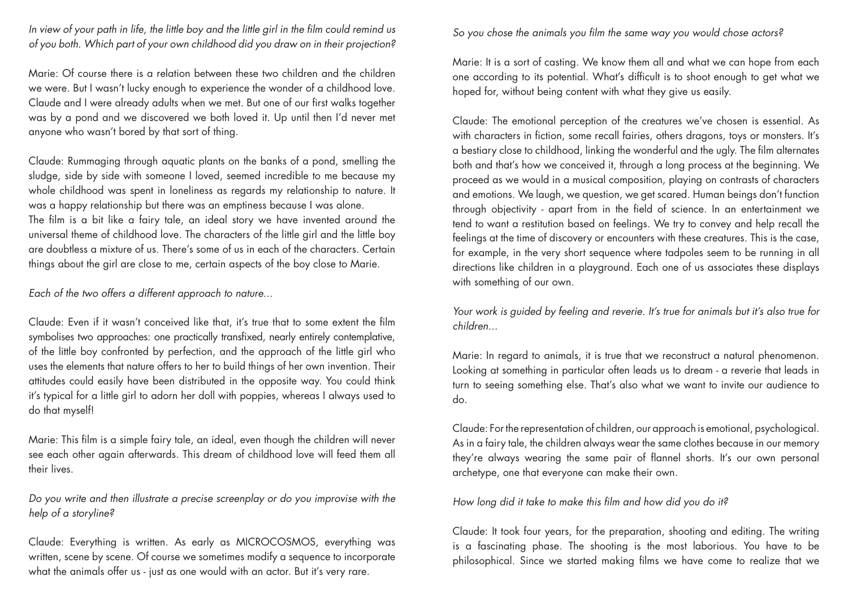*In view of your path in life, the little boy and the little girl in the film could remind us of you both. Which part of your own childhood did you draw on in their projection?*

Marie: Of course there is a relation between these two children and the children we were. But I wasn't lucky enough to experience the wonder of a childhood love. Claude and I were already adults when we met. But one of our first walks together was by a pond and we discovered we both loved it. Up until then I'd never met anyone who wasn't bored by that sort of thing.

Claude: Rummaging through aquatic plants on the banks of a pond, smelling the sludge, side by side with someone I loved, seemed incredible to me because my whole childhood was spent in loneliness as regards my relationship to nature. It was a happy relationship but there was an emptiness because I was alone. The film is a bit like a fairy tale, an ideal story we have invented around the universal theme of childhood love. The characters of the little girl and the little boy are doubtless a mixture of us. There's some of us in each of the characters. Certain things about the girl are close to me, certain aspects of the boy close to Marie.

*Each of the two offers a different approach to nature...*

Claude: Even if it wasn't conceived like that, it's true that to some extent the film symbolises two approaches: one practically transfixed, nearly entirely contemplative, of the little boy confronted by perfection, and the approach of the little girl who uses the elements that nature offers to her to build things of her own invention. Their attitudes could easily have been distributed in the opposite way. You could think it's typical for a little girl to adorn her doll with poppies, whereas I always used to do that myself!

Marie: This film is a simple fairy tale, an ideal, even though the children will never see each other again afterwards. This dream of childhood love will feed them all their lives.

*Do you write and then illustrate a precise screenplay or do you improvise with the help of a storyline?*

Claude: Everything is written. As early as MICROCOSMOS, everything was written, scene by scene. Of course we sometimes modify a sequence to incorporate what the animals offer us - just as one would with an actor. But it's very rare.

#### *So you chose the animals you film the same way you would chose actors?*

Marie: It is a sort of casting. We know them all and what we can hope from each one according to its potential. What's difficult is to shoot enough to get what we hoped for, without being content with what they give us easily.

Claude: The emotional perception of the creatures we've chosen is essential. As with characters in fiction, some recall fairies, others dragons, toys or monsters. It's a bestiary close to childhood, linking the wonderful and the ugly. The film alternates both and that's how we conceived it, through a long process at the beginning. We proceed as we would in a musical composition, playing on contrasts of characters and emotions. We laugh, we question, we get scared. Human beings don't function through objectivity - apart from in the field of science. In an entertainment we tend to want a restitution based on feelings. We try to convey and help recall the feelings at the time of discovery or encounters with these creatures. This is the case, for example, in the very short sequence where tadpoles seem to be running in all directions like children in a playground. Each one of us associates these displays with something of our own.

*Your work is guided by feeling and reverie. It's true for animals but it's also true for children...* 

Marie: In regard to animals, it is true that we reconstruct a natural phenomenon. Looking at something in particular often leads us to dream - a reverie that leads in turn to seeing something else. That's also what we want to invite our audience to do.

Claude: For the representation of children, our approach is emotional, psychological. As in a fairy tale, the children always wear the same clothes because in our memory they're always wearing the same pair of flannel shorts. It's our own personal archetype, one that everyone can make their own.

*How long did it take to make this film and how did you do it?*

Claude: It took four years, for the preparation, shooting and editing. The writing is a fascinating phase. The shooting is the most laborious. You have to be philosophical. Since we started making films we have come to realize that we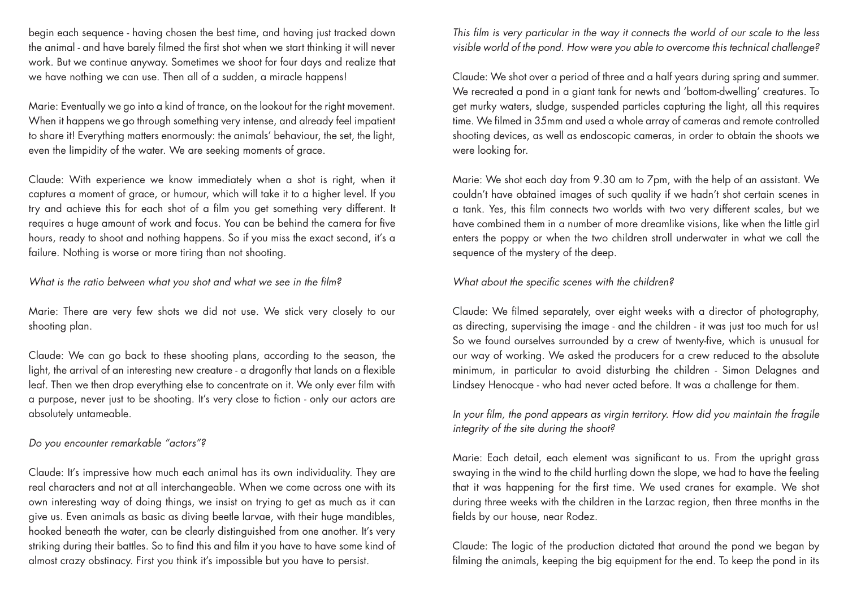begin each sequence - having chosen the best time, and having just tracked down the animal - and have barely filmed the first shot when we start thinking it will never work. But we continue anyway. Sometimes we shoot for four days and realize that we have nothing we can use. Then all of a sudden, a miracle happens!

Marie: Eventually we go into a kind of trance, on the lookout for the right movement. When it happens we go through something very intense, and already feel impatient to share it! Everything matters enormously: the animals' behaviour, the set, the light, even the limpidity of the water. We are seeking moments of grace.

Claude: With experience we know immediately when a shot is right, when it captures a moment of grace, or humour, which will take it to a higher level. If you try and achieve this for each shot of a film you get something very different. It requires a huge amount of work and focus. You can be behind the camera for five hours, ready to shoot and nothing happens. So if you miss the exact second, it's a failure. Nothing is worse or more tiring than not shooting.

*What is the ratio between what you shot and what we see in the film?*

Marie: There are very few shots we did not use. We stick very closely to our shooting plan.

Claude: We can go back to these shooting plans, according to the season, the light, the arrival of an interesting new creature - a dragonfly that lands on a flexible leaf. Then we then drop everything else to concentrate on it. We only ever film with a purpose, never just to be shooting. It's very close to fiction - only our actors are absolutely untameable.

*Do you encounter remarkable "actors"?*

Claude: It's impressive how much each animal has its own individuality. They are real characters and not at all interchangeable. When we come across one with its own interesting way of doing things, we insist on trying to get as much as it can give us. Even animals as basic as diving beetle larvae, with their huge mandibles, hooked beneath the water, can be clearly distinguished from one another. It's very striking during their battles. So to find this and film it you have to have some kind of almost crazy obstinacy. First you think it's impossible but you have to persist.

*This film is very particular in the way it connects the world of our scale to the less visible world of the pond. How were you able to overcome this technical challenge?*

Claude: We shot over a period of three and a half years during spring and summer. We recreated a pond in a giant tank for newts and 'bottom-dwelling' creatures. To get murky waters, sludge, suspended particles capturing the light, all this requires time. We filmed in 35mm and used a whole array of cameras and remote controlled shooting devices, as well as endoscopic cameras, in order to obtain the shoots we were looking for.

Marie: We shot each day from 9.30 am to 7pm, with the help of an assistant. We couldn't have obtained images of such quality if we hadn't shot certain scenes in a tank. Yes, this film connects two worlds with two very different scales, but we have combined them in a number of more dreamlike visions, like when the little girl enters the poppy or when the two children stroll underwater in what we call the sequence of the mystery of the deep.

*What about the specific scenes with the children?*

Claude: We filmed separately, over eight weeks with a director of photography, as directing, supervising the image - and the children - it was just too much for us! So we found ourselves surrounded by a crew of twenty-five, which is unusual for our way of working. We asked the producers for a crew reduced to the absolute minimum, in particular to avoid disturbing the children - Simon Delagnes and Lindsey Henocque - who had never acted before. It was a challenge for them.

*In your film, the pond appears as virgin territory. How did you maintain the fragile integrity of the site during the shoot?*

Marie: Each detail, each element was significant to us. From the upright grass swaying in the wind to the child hurtling down the slope, we had to have the feeling that it was happening for the first time. We used cranes for example. We shot during three weeks with the children in the Larzac region, then three months in the fields by our house, near Rodez.

Claude: The logic of the production dictated that around the pond we began by filming the animals, keeping the big equipment for the end. To keep the pond in its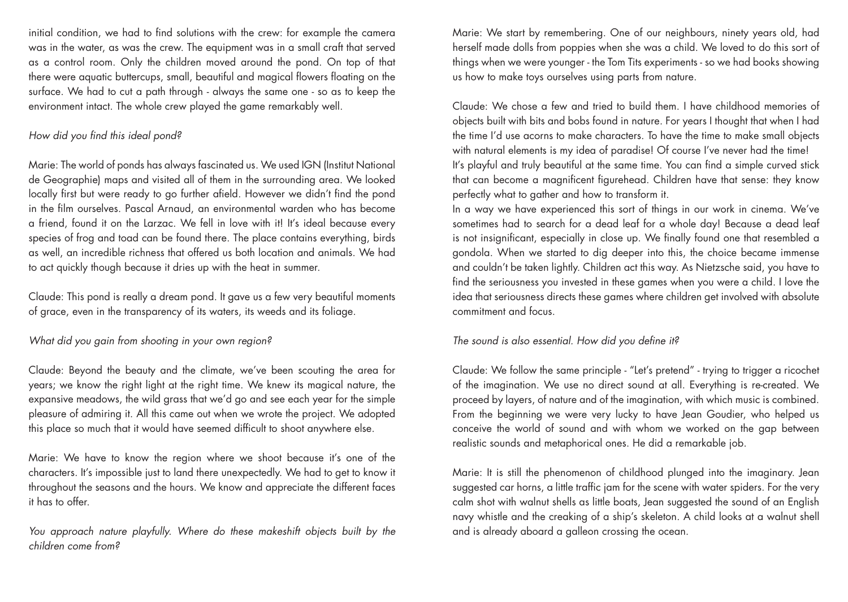initial condition, we had to find solutions with the crew: for example the camera was in the water, as was the crew. The equipment was in a small craft that served as a control room. Only the children moved around the pond. On top of that there were aquatic buttercups, small, beautiful and magical flowers floating on the surface. We had to cut a path through - always the same one - so as to keep the environment intact. The whole crew played the game remarkably well.

#### *How did you find this ideal pond?*

Marie: The world of ponds has always fascinated us. We used IGN (Institut National de Geographie) maps and visited all of them in the surrounding area. We looked locally first but were ready to go further afield. However we didn't find the pond in the film ourselves. Pascal Arnaud, an environmental warden who has become a friend, found it on the Larzac. We fell in love with it! It's ideal because every species of frog and toad can be found there. The place contains everything, birds as well, an incredible richness that offered us both location and animals. We had to act quickly though because it dries up with the heat in summer.

Claude: This pond is really a dream pond. It gave us a few very beautiful moments of grace, even in the transparency of its waters, its weeds and its foliage.

#### *What did you gain from shooting in your own region?*

Claude: Beyond the beauty and the climate, we've been scouting the area for years; we know the right light at the right time. We knew its magical nature, the expansive meadows, the wild grass that we'd go and see each year for the simple pleasure of admiring it. All this came out when we wrote the project. We adopted this place so much that it would have seemed difficult to shoot anywhere else.

Marie: We have to know the region where we shoot because it's one of the characters. It's impossible just to land there unexpectedly. We had to get to know it throughout the seasons and the hours. We know and appreciate the different faces it has to offer.

*You approach nature playfully. Where do these makeshift objects built by the children come from?* 

Marie: We start by remembering. One of our neighbours, ninety years old, had herself made dolls from poppies when she was a child. We loved to do this sort of things when we were younger - the Tom Tits experiments - so we had books showing us how to make toys ourselves using parts from nature.

Claude: We chose a few and tried to build them. I have childhood memories of objects built with bits and bobs found in nature. For years I thought that when I had the time I'd use acorns to make characters. To have the time to make small objects with natural elements is my idea of paradise! Of course I've never had the time! It's playful and truly beautiful at the same time. You can find a simple curved stick that can become a magnificent figurehead. Children have that sense: they know perfectly what to gather and how to transform it.

In a way we have experienced this sort of things in our work in cinema. We've sometimes had to search for a dead leaf for a whole day! Because a dead leaf is not insignificant, especially in close up. We finally found one that resembled a gondola. When we started to dig deeper into this, the choice became immense and couldn't be taken lightly. Children act this way. As Nietzsche said, you have to find the seriousness you invested in these games when you were a child. I love the idea that seriousness directs these games where children get involved with absolute commitment and focus.

#### *The sound is also essential. How did you define it?*

Claude: We follow the same principle - "Let's pretend" - trying to trigger a ricochet of the imagination. We use no direct sound at all. Everything is re-created. We proceed by layers, of nature and of the imagination, with which music is combined. From the beginning we were very lucky to have Jean Goudier, who helped us conceive the world of sound and with whom we worked on the gap between realistic sounds and metaphorical ones. He did a remarkable job.

Marie: It is still the phenomenon of childhood plunged into the imaginary. Jean suggested car horns, a little traffic jam for the scene with water spiders. For the very calm shot with walnut shells as little boats, Jean suggested the sound of an English navy whistle and the creaking of a ship's skeleton. A child looks at a walnut shell and is already aboard a galleon crossing the ocean.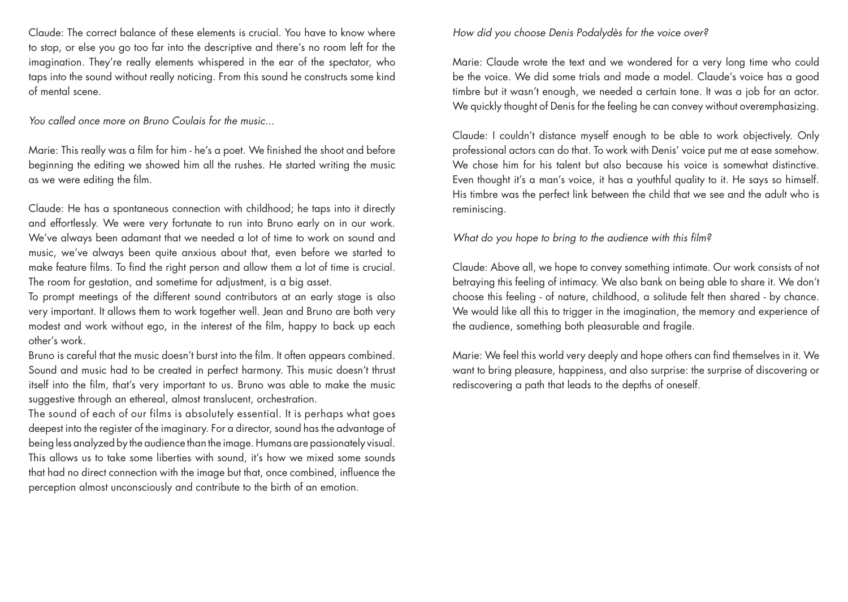Claude: The correct balance of these elements is crucial. You have to know where to stop, or else you go too far into the descriptive and there's no room left for the imagination. They're really elements whispered in the ear of the spectator, who taps into the sound without really noticing. From this sound he constructs some kind of mental scene.

*You called once more on Bruno Coulais for the music...*

Marie: This really was a film for him - he's a poet. We finished the shoot and before beginning the editing we showed him all the rushes. He started writing the music as we were editing the film.

Claude: He has a spontaneous connection with childhood; he taps into it directly and effortlessly. We were very fortunate to run into Bruno early on in our work. We've always been adamant that we needed a lot of time to work on sound and music, we've always been quite anxious about that, even before we started to make feature films. To find the right person and allow them a lot of time is crucial. The room for gestation, and sometime for adjustment, is a big asset.

To prompt meetings of the different sound contributors at an early stage is also very important. It allows them to work together well. Jean and Bruno are both very modest and work without ego, in the interest of the film, happy to back up each other's work.

Bruno is careful that the music doesn't burst into the film. It often appears combined. Sound and music had to be created in perfect harmony. This music doesn't thrust itself into the film, that's very important to us. Bruno was able to make the music suggestive through an ethereal, almost translucent, orchestration.

The sound of each of our films is absolutely essential. It is perhaps what goes deepest into the register of the imaginary. For a director, sound has the advantage of being less analyzed by the audience than the image. Humans are passionately visual. This allows us to take some liberties with sound, it's how we mixed some sounds that had no direct connection with the image but that, once combined, influence the perception almost unconsciously and contribute to the birth of an emotion.

#### *How did you choose Denis Podalydès for the voice over?*

Marie: Claude wrote the text and we wondered for a very long time who could be the voice. We did some trials and made a model. Claude's voice has a good timbre but it wasn't enough, we needed a certain tone. It was a job for an actor. We quickly thought of Denis for the feeling he can convey without overemphasizing.

Claude: I couldn't distance myself enough to be able to work objectively. Only professional actors can do that. To work with Denis' voice put me at ease somehow. We chose him for his talent but also because his voice is somewhat distinctive. Even thought it's a man's voice, it has a youthful quality to it. He says so himself. His timbre was the perfect link between the child that we see and the adult who is reminiscing.

#### *What do you hope to bring to the audience with this film?*

Claude: Above all, we hope to convey something intimate. Our work consists of not betraying this feeling of intimacy. We also bank on being able to share it. We don't choose this feeling - of nature, childhood, a solitude felt then shared - by chance. We would like all this to trigger in the imagination, the memory and experience of the audience, something both pleasurable and fragile.

Marie: We feel this world very deeply and hope others can find themselves in it. We want to bring pleasure, happiness, and also surprise: the surprise of discovering or rediscovering a path that leads to the depths of oneself.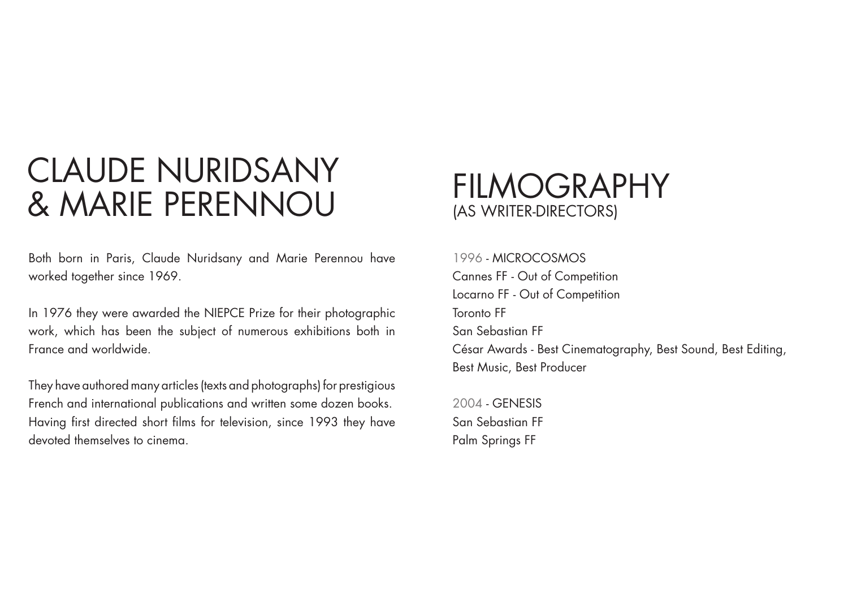### Claude NURIDSANY CLAUDL INUNIUSAINI FILMOGRAPHY<br>
8 MARIE PERENNOU

Both born in Paris, Claude Nuridsany and Marie Perennou have worked together since 1969.

In 1976 they were awarded the NIEPCE Prize for their photographic work, which has been the subject of numerous exhibitions both in France and worldwide.

They have authored many articles (texts and photographs) for prestigious French and international publications and written some dozen books. Having first directed short films for television, since 1993 they have devoted themselves to cinema.

## (as writer-directors)

1996 - MICROCOSMOS Cannes FF - Out of Competition Locarno FF - Out of Competition Toronto FF San Sebastian FF César Awards - Best Cinematography, Best Sound, Best Editing, Best Music, Best Producer

2004 - GENESIS San Sebastian FF Palm Springs FF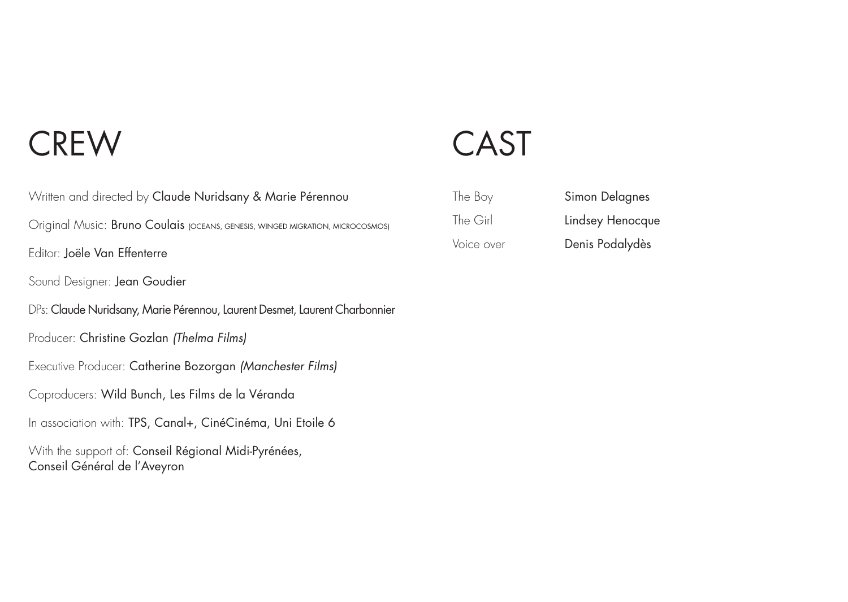### **CREW**

Written and directed by Claude Nuridsany & Marie Pérennou Original Music: Bruno Coulais (OCEANS, GENESIS, WINGED MIGRATION, MICROCOSMOS) Editor: Joële Van Effenterre Sound Designer: Jean Goudier DPs: Claude Nuridsany, Marie Pérennou, Laurent Desmet, Laurent Charbonnier Producer: Christine Gozlan *(Thelma Films)* Executive Producer: Catherine Bozorgan *(Manchester Films)* Coproducers: Wild Bunch, Les Films de la Véranda In association with: TPS, Canal+, CinéCinéma, Uni Etoile 6 With the support of: Conseil Régional Midi-Pyrénées, Conseil Général de l'Aveyron

## CAST

| The Boy    | Simon Delagnes   |
|------------|------------------|
| The Girl   | Lindsey Henocque |
| Voice over | Denis Podalydès  |